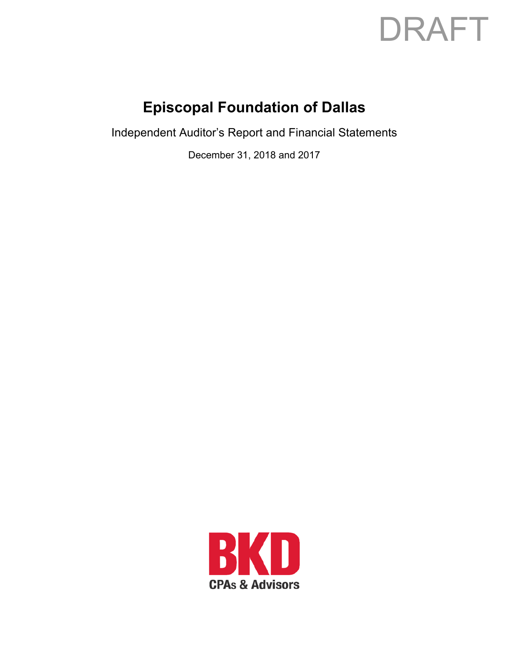

## **Episcopal Foundation of Dallas**

Independent Auditor's Report and Financial Statements

December 31, 2018 and 2017

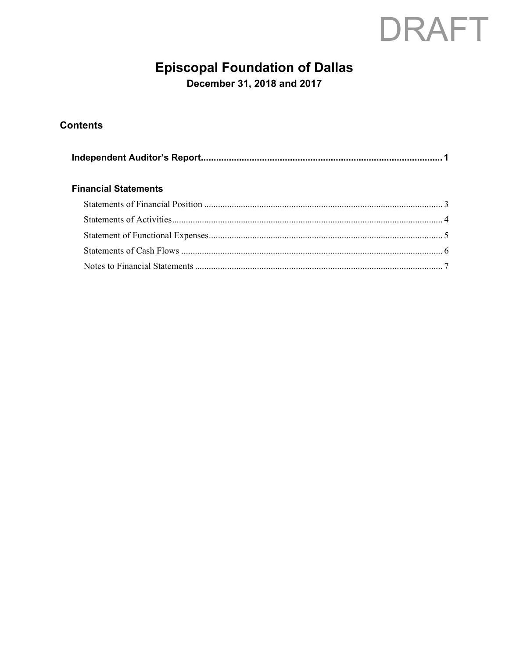### **Episcopal Foundation of Dallas**

December 31, 2018 and 2017

### **Contents**

| <b>Financial Statements</b> |  |
|-----------------------------|--|
|                             |  |
|                             |  |
|                             |  |
|                             |  |
|                             |  |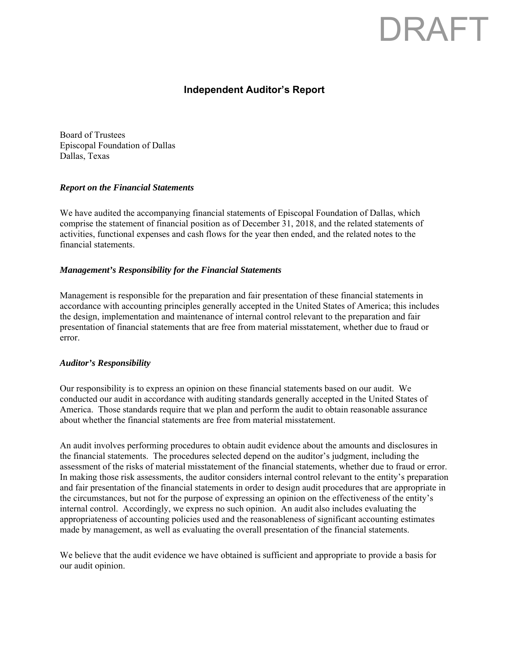#### **Independent Auditor's Report**

Board of Trustees Episcopal Foundation of Dallas Dallas, Texas

#### *Report on the Financial Statements*

We have audited the accompanying financial statements of Episcopal Foundation of Dallas, which comprise the statement of financial position as of December 31, 2018, and the related statements of activities, functional expenses and cash flows for the year then ended, and the related notes to the financial statements.

#### *Management's Responsibility for the Financial Statements*

Management is responsible for the preparation and fair presentation of these financial statements in accordance with accounting principles generally accepted in the United States of America; this includes the design, implementation and maintenance of internal control relevant to the preparation and fair presentation of financial statements that are free from material misstatement, whether due to fraud or error.

#### *Auditor's Responsibility*

Our responsibility is to express an opinion on these financial statements based on our audit. We conducted our audit in accordance with auditing standards generally accepted in the United States of America. Those standards require that we plan and perform the audit to obtain reasonable assurance about whether the financial statements are free from material misstatement.

An audit involves performing procedures to obtain audit evidence about the amounts and disclosures in the financial statements. The procedures selected depend on the auditor's judgment, including the assessment of the risks of material misstatement of the financial statements, whether due to fraud or error. In making those risk assessments, the auditor considers internal control relevant to the entity's preparation and fair presentation of the financial statements in order to design audit procedures that are appropriate in the circumstances, but not for the purpose of expressing an opinion on the effectiveness of the entity's internal control. Accordingly, we express no such opinion. An audit also includes evaluating the appropriateness of accounting policies used and the reasonableness of significant accounting estimates made by management, as well as evaluating the overall presentation of the financial statements.

We believe that the audit evidence we have obtained is sufficient and appropriate to provide a basis for our audit opinion.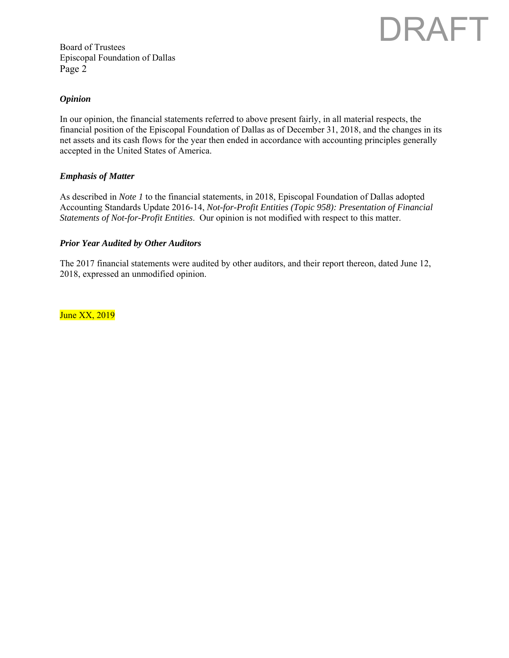Board of Trustees Episcopal Foundation of Dallas Page 2

#### *Opinion*

In our opinion, the financial statements referred to above present fairly, in all material respects, the financial position of the Episcopal Foundation of Dallas as of December 31, 2018, and the changes in its net assets and its cash flows for the year then ended in accordance with accounting principles generally accepted in the United States of America.

#### *Emphasis of Matter*

As described in *Note 1* to the financial statements, in 2018, Episcopal Foundation of Dallas adopted Accounting Standards Update 2016-14, *Not-for-Profit Entities (Topic 958): Presentation of Financial Statements of Not-for-Profit Entities*. Our opinion is not modified with respect to this matter.

#### *Prior Year Audited by Other Auditors*

The 2017 financial statements were audited by other auditors, and their report thereon, dated June 12, 2018, expressed an unmodified opinion.

June XX, 2019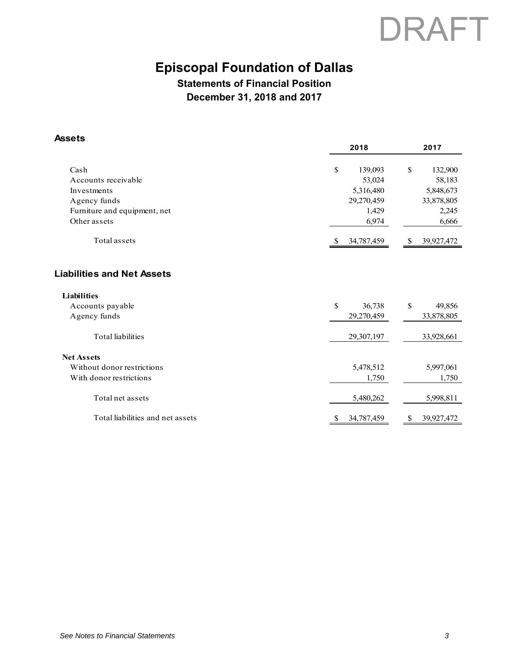### **Episcopal Foundation of Dallas**

### **Statements of Financial Position December 31, 2018 and 2017**

#### **Assets**

|                                                                                            | 2018                                                        | 2017                                                        |
|--------------------------------------------------------------------------------------------|-------------------------------------------------------------|-------------------------------------------------------------|
| Cash<br>Accounts receivable<br>Investments<br>Agency funds<br>Furniture and equipment, net | \$<br>139,093<br>53,024<br>5,316,480<br>29,270,459<br>1,429 | \$<br>132,900<br>58,183<br>5,848,673<br>33,878,805<br>2,245 |
| Other assets                                                                               | 6,974                                                       | 6,666                                                       |
| Total assets                                                                               | 34,787,459<br>S                                             | 39,927,472<br>\$                                            |
| <b>Liabilities and Net Assets</b>                                                          |                                                             |                                                             |
| <b>Liabilities</b>                                                                         |                                                             |                                                             |
| Accounts payable                                                                           | \$<br>36,738                                                | \$<br>49,856                                                |
| Agency funds                                                                               | 29,270,459                                                  | 33,878,805                                                  |
| <b>Total</b> liabilities                                                                   | 29,307,197                                                  | 33,928,661                                                  |
| <b>Net Assets</b>                                                                          |                                                             |                                                             |
| Without donor restrictions                                                                 | 5,478,512                                                   | 5,997,061                                                   |
| With donor restrictions                                                                    | 1,750                                                       | 1,750                                                       |
| Total net assets                                                                           | 5,480,262                                                   | 5,998,811                                                   |
| Total liabilities and net assets                                                           | 34,787,459<br>\$                                            | \$<br>39,927,472                                            |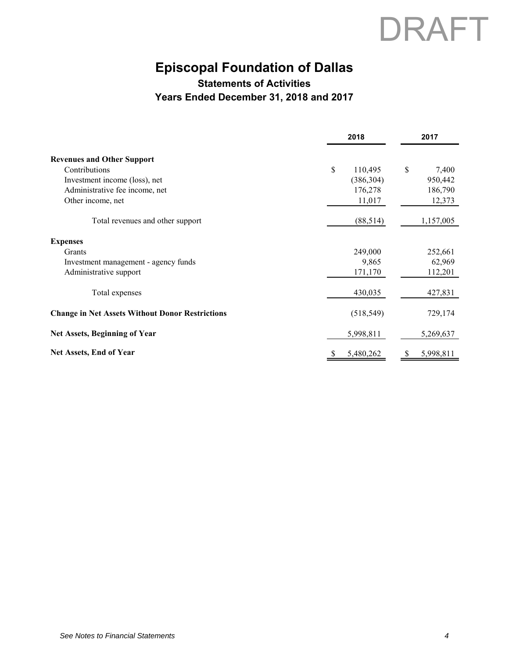### **Episcopal Foundation of Dallas**

**Statements of Activities** 

**Years Ended December 31, 2018 and 2017** 

|                                                        | 2018          | 2017           |  |
|--------------------------------------------------------|---------------|----------------|--|
| <b>Revenues and Other Support</b>                      |               |                |  |
| Contributions                                          | \$<br>110,495 | \$<br>7,400    |  |
| Investment income (loss), net                          | (386, 304)    | 950,442        |  |
| Administrative fee income, net                         | 176,278       | 186,790        |  |
| Other income, net                                      | 11,017        | 12,373         |  |
| Total revenues and other support                       | (88, 514)     | 1,157,005      |  |
| <b>Expenses</b>                                        |               |                |  |
| Grants                                                 | 249,000       | 252,661        |  |
| Investment management - agency funds                   | 9,865         | 62,969         |  |
| Administrative support                                 | 171,170       | 112,201        |  |
| Total expenses                                         | 430,035       | 427,831        |  |
| <b>Change in Net Assets Without Donor Restrictions</b> | (518, 549)    | 729,174        |  |
| <b>Net Assets, Beginning of Year</b>                   | 5,998,811     | 5,269,637      |  |
| Net Assets, End of Year                                | 5,480,262     | 5,998,811<br>Ж |  |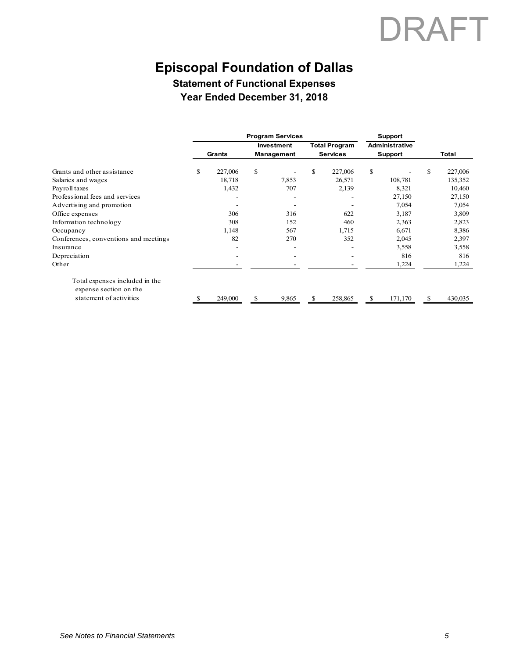### **Episcopal Foundation of Dallas Statement of Functional Expenses Year Ended December 31, 2018**

|                                       |               |    | <b>Program Services</b> |     |                      |               | Support               |               |
|---------------------------------------|---------------|----|-------------------------|-----|----------------------|---------------|-----------------------|---------------|
|                                       |               |    | Investment              |     | <b>Total Program</b> |               | <b>Administrative</b> |               |
|                                       | Grants        |    | Management              |     | <b>Services</b>      |               | Support               | Total         |
| Grants and other assistance           | \$<br>227,006 | \$ |                         | \$  | 227,006              | <sup>\$</sup> |                       | \$<br>227,006 |
| Salaries and wages                    | 18,718        |    | 7,853                   |     | 26,571               |               | 108,781               | 135,352       |
| Payroll taxes                         | 1,432         |    | 707                     |     | 2,139                |               | 8,321                 | 10,460        |
| Professional fees and services        |               |    |                         |     |                      |               | 27,150                | 27,150        |
| Advertising and promotion             |               |    |                         |     |                      |               | 7,054                 | 7,054         |
| Office expenses                       | 306           |    | 316                     |     | 622                  |               | 3,187                 | 3,809         |
| Information technology                | 308           |    | 152                     |     | 460                  |               | 2,363                 | 2,823         |
| Occupancy                             | 1,148         |    | 567                     |     | 1,715                |               | 6,671                 | 8,386         |
| Conferences, conventions and meetings | 82            |    | 270                     |     | 352                  |               | 2,045                 | 2,397         |
| Insurance                             |               |    |                         |     |                      |               | 3,558                 | 3,558         |
| Depreciation                          |               |    |                         |     |                      |               | 816                   | 816           |
| Other                                 |               |    |                         |     |                      |               | 1,224                 | 1,224         |
| Total expenses included in the        |               |    |                         |     |                      |               |                       |               |
| expense section on the                |               |    |                         |     |                      |               |                       |               |
| statement of activities               | 249,000       | S  | 9,865                   | \$. | 258,865              |               | 171,170               | 430,035       |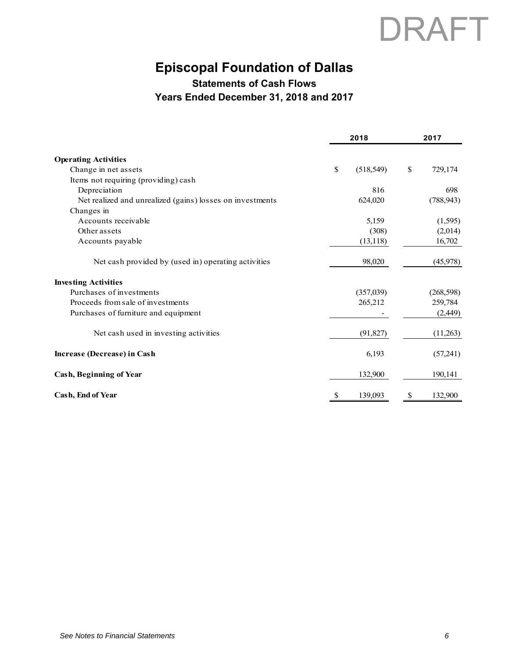### **Episcopal Foundation of Dallas**

**Statements of Cash Flows** 

**Years Ended December 31, 2018 and 2017** 

|                                                           | 2018             |    | 2017       |  |  |
|-----------------------------------------------------------|------------------|----|------------|--|--|
| <b>Operating Activities</b>                               |                  |    |            |  |  |
| Change in net assets                                      | \$<br>(518, 549) | \$ | 729,174    |  |  |
| Items not requiring (providing) cash                      |                  |    |            |  |  |
| Depreciation                                              | 816              |    | 698        |  |  |
| Net realized and unrealized (gains) losses on investments | 624,020          |    | (788, 943) |  |  |
| Changes in                                                |                  |    |            |  |  |
| Accounts receivable                                       | 5,159            |    | (1, 595)   |  |  |
| Other assets                                              | (308)            |    | (2,014)    |  |  |
| Accounts payable                                          | (13,118)         |    | 16,702     |  |  |
| Net cash provided by (used in) operating activities       | 98,020           |    | (45,978)   |  |  |
| <b>Investing Activities</b>                               |                  |    |            |  |  |
| Purchases of investments                                  | (357,039)        |    | (268, 598) |  |  |
| Proceeds from sale of investments                         | 265,212          |    | 259,784    |  |  |
| Purchases of furniture and equipment                      |                  |    | (2,449)    |  |  |
| Net cash used in investing activities                     | (91, 827)        |    | (11,263)   |  |  |
| Increase (Decrease) in Cash                               | 6,193            |    | (57,241)   |  |  |
| <b>Cash, Beginning of Year</b>                            | 132,900          |    | 190,141    |  |  |
| Cash, End of Year                                         | \$<br>139,093    | \$ | 132,900    |  |  |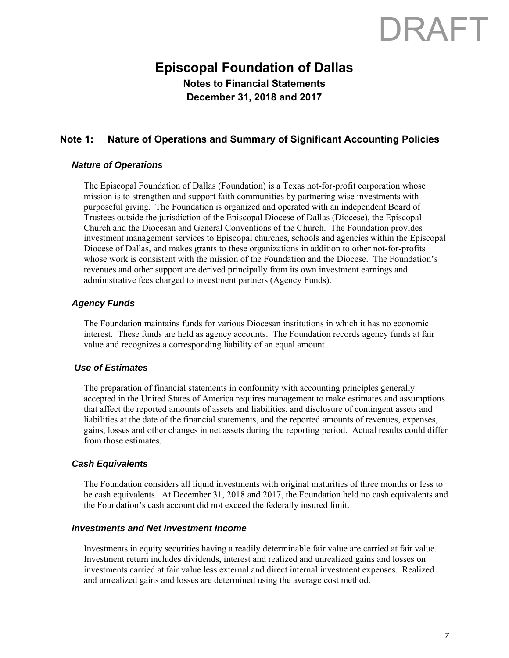### **Episcopal Foundation of Dallas**

**Notes to Financial Statements December 31, 2018 and 2017** 

#### **Note 1: Nature of Operations and Summary of Significant Accounting Policies**

#### *Nature of Operations*

The Episcopal Foundation of Dallas (Foundation) is a Texas not-for-profit corporation whose mission is to strengthen and support faith communities by partnering wise investments with purposeful giving. The Foundation is organized and operated with an independent Board of Trustees outside the jurisdiction of the Episcopal Diocese of Dallas (Diocese), the Episcopal Church and the Diocesan and General Conventions of the Church. The Foundation provides investment management services to Episcopal churches, schools and agencies within the Episcopal Diocese of Dallas, and makes grants to these organizations in addition to other not-for-profits whose work is consistent with the mission of the Foundation and the Diocese. The Foundation's revenues and other support are derived principally from its own investment earnings and administrative fees charged to investment partners (Agency Funds).

#### *Agency Funds*

The Foundation maintains funds for various Diocesan institutions in which it has no economic interest. These funds are held as agency accounts. The Foundation records agency funds at fair value and recognizes a corresponding liability of an equal amount.

#### *Use of Estimates*

The preparation of financial statements in conformity with accounting principles generally accepted in the United States of America requires management to make estimates and assumptions that affect the reported amounts of assets and liabilities, and disclosure of contingent assets and liabilities at the date of the financial statements, and the reported amounts of revenues, expenses, gains, losses and other changes in net assets during the reporting period. Actual results could differ from those estimates.

#### *Cash Equivalents*

The Foundation considers all liquid investments with original maturities of three months or less to be cash equivalents. At December 31, 2018 and 2017, the Foundation held no cash equivalents and the Foundation's cash account did not exceed the federally insured limit.

#### *Investments and Net Investment Income*

Investments in equity securities having a readily determinable fair value are carried at fair value. Investment return includes dividends, interest and realized and unrealized gains and losses on investments carried at fair value less external and direct internal investment expenses. Realized and unrealized gains and losses are determined using the average cost method.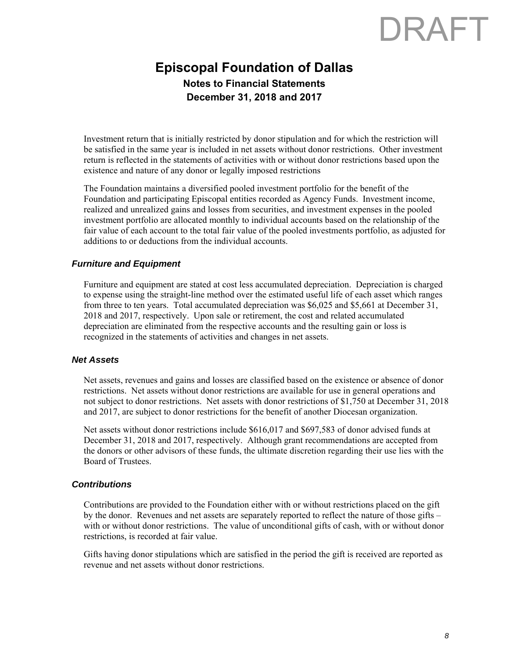### **Episcopal Foundation of Dallas Notes to Financial Statements December 31, 2018 and 2017**

Investment return that is initially restricted by donor stipulation and for which the restriction will be satisfied in the same year is included in net assets without donor restrictions. Other investment return is reflected in the statements of activities with or without donor restrictions based upon the existence and nature of any donor or legally imposed restrictions

The Foundation maintains a diversified pooled investment portfolio for the benefit of the Foundation and participating Episcopal entities recorded as Agency Funds. Investment income, realized and unrealized gains and losses from securities, and investment expenses in the pooled investment portfolio are allocated monthly to individual accounts based on the relationship of the fair value of each account to the total fair value of the pooled investments portfolio, as adjusted for additions to or deductions from the individual accounts.

#### *Furniture and Equipment*

Furniture and equipment are stated at cost less accumulated depreciation. Depreciation is charged to expense using the straight-line method over the estimated useful life of each asset which ranges from three to ten years. Total accumulated depreciation was \$6,025 and \$5,661 at December 31, 2018 and 2017, respectively. Upon sale or retirement, the cost and related accumulated depreciation are eliminated from the respective accounts and the resulting gain or loss is recognized in the statements of activities and changes in net assets.

#### *Net Assets*

Net assets, revenues and gains and losses are classified based on the existence or absence of donor restrictions. Net assets without donor restrictions are available for use in general operations and not subject to donor restrictions. Net assets with donor restrictions of \$1,750 at December 31, 2018 and 2017, are subject to donor restrictions for the benefit of another Diocesan organization.

Net assets without donor restrictions include \$616,017 and \$697,583 of donor advised funds at December 31, 2018 and 2017, respectively. Although grant recommendations are accepted from the donors or other advisors of these funds, the ultimate discretion regarding their use lies with the Board of Trustees.

#### *Contributions*

Contributions are provided to the Foundation either with or without restrictions placed on the gift by the donor. Revenues and net assets are separately reported to reflect the nature of those gifts – with or without donor restrictions. The value of unconditional gifts of cash, with or without donor restrictions, is recorded at fair value.

Gifts having donor stipulations which are satisfied in the period the gift is received are reported as revenue and net assets without donor restrictions.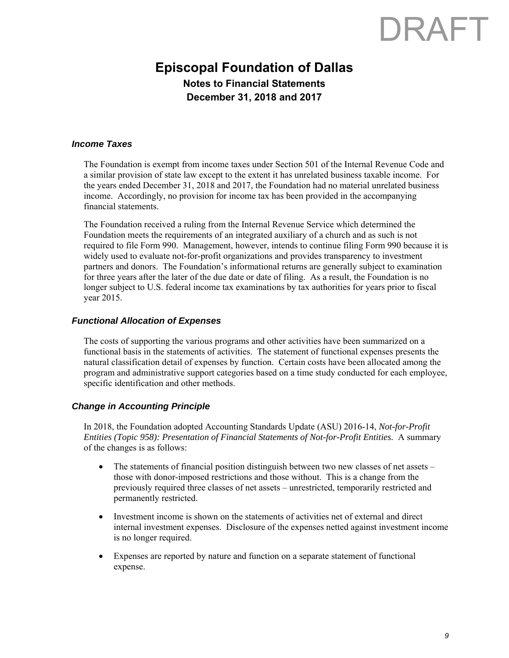### **Episcopal Foundation of Dallas Notes to Financial Statements December 31, 2018 and 2017**

#### *Income Taxes*

The Foundation is exempt from income taxes under Section 501 of the Internal Revenue Code and a similar provision of state law except to the extent it has unrelated business taxable income. For the years ended December 31, 2018 and 2017, the Foundation had no material unrelated business income. Accordingly, no provision for income tax has been provided in the accompanying financial statements.

The Foundation received a ruling from the Internal Revenue Service which determined the Foundation meets the requirements of an integrated auxiliary of a church and as such is not required to file Form 990. Management, however, intends to continue filing Form 990 because it is widely used to evaluate not-for-profit organizations and provides transparency to investment partners and donors. The Foundation's informational returns are generally subject to examination for three years after the later of the due date or date of filing. As a result, the Foundation is no longer subject to U.S. federal income tax examinations by tax authorities for years prior to fiscal year 2015.

#### *Functional Allocation of Expenses*

The costs of supporting the various programs and other activities have been summarized on a functional basis in the statements of activities. The statement of functional expenses presents the natural classification detail of expenses by function. Certain costs have been allocated among the program and administrative support categories based on a time study conducted for each employee, specific identification and other methods.

#### *Change in Accounting Principle*

In 2018, the Foundation adopted Accounting Standards Update (ASU) 2016-14, *Not-for-Profit Entities (Topic 958): Presentation of Financial Statements of Not-for-Profit Entities.* A summary of the changes is as follows:

- The statements of financial position distinguish between two new classes of net assets those with donor-imposed restrictions and those without. This is a change from the previously required three classes of net assets – unrestricted, temporarily restricted and permanently restricted.
- Investment income is shown on the statements of activities net of external and direct internal investment expenses. Disclosure of the expenses netted against investment income is no longer required.
- Expenses are reported by nature and function on a separate statement of functional expense.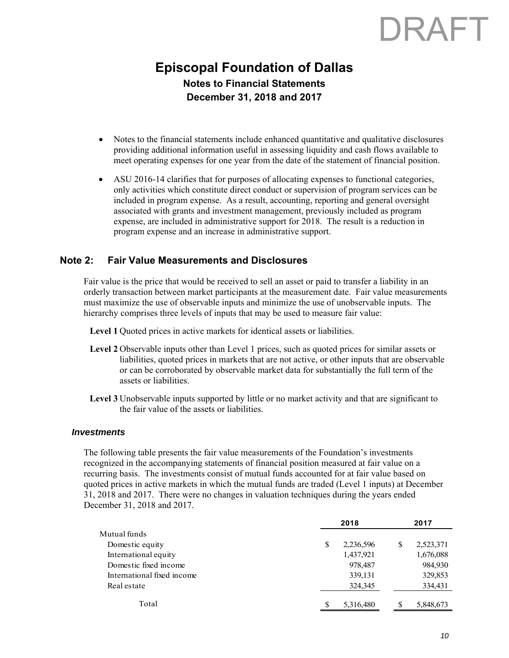### **Episcopal Foundation of Dallas Notes to Financial Statements December 31, 2018 and 2017**

- Notes to the financial statements include enhanced quantitative and qualitative disclosures providing additional information useful in assessing liquidity and cash flows available to meet operating expenses for one year from the date of the statement of financial position.
- ASU 2016-14 clarifies that for purposes of allocating expenses to functional categories, only activities which constitute direct conduct or supervision of program services can be included in program expense. As a result, accounting, reporting and general oversight associated with grants and investment management, previously included as program expense, are included in administrative support for 2018. The result is a reduction in program expense and an increase in administrative support.

#### **Note 2: Fair Value Measurements and Disclosures**

Fair value is the price that would be received to sell an asset or paid to transfer a liability in an orderly transaction between market participants at the measurement date. Fair value measurements must maximize the use of observable inputs and minimize the use of unobservable inputs. The hierarchy comprises three levels of inputs that may be used to measure fair value:

**Level 1** Quoted prices in active markets for identical assets or liabilities.

- **Level 2** Observable inputs other than Level 1 prices, such as quoted prices for similar assets or liabilities, quoted prices in markets that are not active, or other inputs that are observable or can be corroborated by observable market data for substantially the full term of the assets or liabilities.
- **Level 3** Unobservable inputs supported by little or no market activity and that are significant to the fair value of the assets or liabilities.

#### *Investments*

The following table presents the fair value measurements of the Foundation's investments recognized in the accompanying statements of financial position measured at fair value on a recurring basis. The investments consist of mutual funds accounted for at fair value based on quoted prices in active markets in which the mutual funds are traded (Level 1 inputs) at December 31, 2018 and 2017. There were no changes in valuation techniques during the years ended December 31, 2018 and 2017.

|                            |    | 2018      | 2017            |
|----------------------------|----|-----------|-----------------|
| Mutual funds               |    |           |                 |
| Domestic equity            | \$ | 2,236,596 | \$<br>2,523,371 |
| International equity       |    | 1,437,921 | 1,676,088       |
| Domestic fixed income      |    | 978,487   | 984,930         |
| International fixed income |    | 339,131   | 329,853         |
| Real estate                |    | 324,345   | 334,431         |
|                            |    |           |                 |
| Total                      | S  | 5,316,480 | 5,848,673       |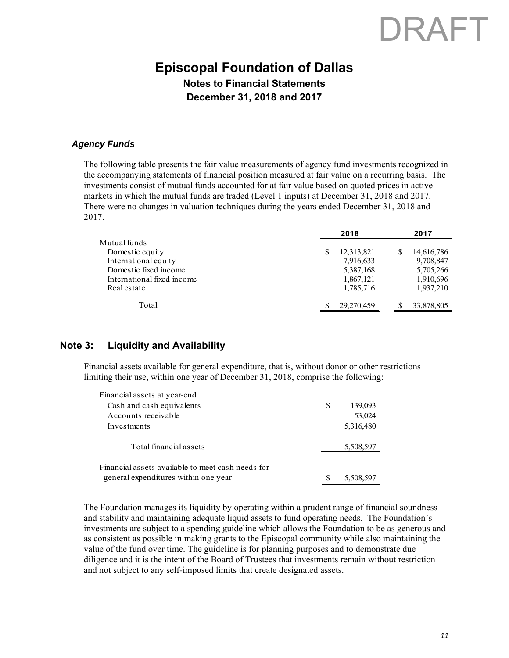### **Episcopal Foundation of Dallas Notes to Financial Statements**

 **December 31, 2018 and 2017** 

#### *Agency Funds*

The following table presents the fair value measurements of agency fund investments recognized in the accompanying statements of financial position measured at fair value on a recurring basis. The investments consist of mutual funds accounted for at fair value based on quoted prices in active markets in which the mutual funds are traded (Level 1 inputs) at December 31, 2018 and 2017. There were no changes in valuation techniques during the years ended December 31, 2018 and 2017.

|                            |   | 2018       | 2017       |
|----------------------------|---|------------|------------|
| Mutual funds               |   |            |            |
| Domestic equity            | S | 12,313,821 | 14,616,786 |
| International equity       |   | 7,916,633  | 9,708,847  |
| Domestic fixed income      |   | 5,387,168  | 5,705,266  |
| International fixed income |   | 1,867,121  | 1,910,696  |
| Real estate                |   | 1,785,716  | 1,937,210  |
| Total                      |   | 29,270,459 | 33,878,805 |
|                            |   |            |            |

#### **Note 3: Liquidity and Availability**

Financial assets available for general expenditure, that is, without donor or other restrictions limiting their use, within one year of December 31, 2018, comprise the following:

| Financial assets at year-end                      |   |           |
|---------------------------------------------------|---|-----------|
| Cash and cash equivalents                         | S | 139,093   |
| Accounts receivable                               |   | 53,024    |
| Investments                                       |   | 5,316,480 |
| Total financial assets                            |   | 5,508,597 |
| Financial assets available to meet cash needs for |   |           |
| general expenditures within one year              |   | 5,508,597 |

The Foundation manages its liquidity by operating within a prudent range of financial soundness and stability and maintaining adequate liquid assets to fund operating needs. The Foundation's investments are subject to a spending guideline which allows the Foundation to be as generous and as consistent as possible in making grants to the Episcopal community while also maintaining the value of the fund over time. The guideline is for planning purposes and to demonstrate due diligence and it is the intent of the Board of Trustees that investments remain without restriction and not subject to any self-imposed limits that create designated assets.